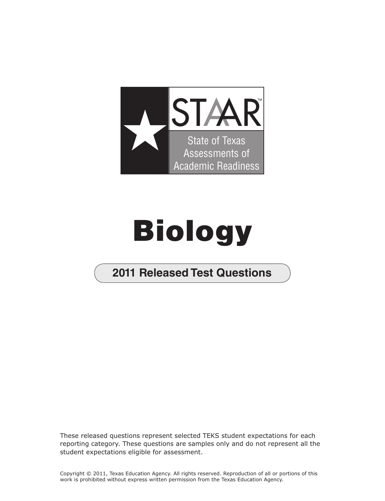

## **Biology**

## **2011 Released Test Questions**

These released questions represent selected TEKS student expectations for each reporting category. These questions are samples only and do not represent all the student expectations eligible for assessment.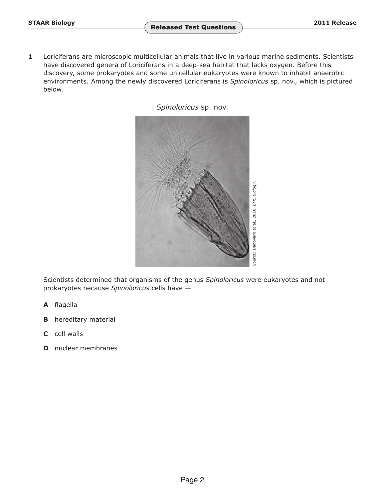**1** Loriciferans are microscopic multicellular animals that live in various marine sediments. Scientists have discovered genera of Loriciferans in a deep-sea habitat that lacks oxygen. Before this discovery, some prokaryotes and some unicellular eukaryotes were known to inhabit anaerobic environments. Among the newly discovered Loriciferans is *Spinoloricus* sp. nov., which is pictured below.

*Spinoloricus* sp. nov.



Scientists determined that organisms of the genus *Spinoloricus* were eukaryotes and not prokaryotes because *Spinoloricus* cells have —

- **A** flagella
- **B** hereditary material
- **C** cell walls
- **D** nuclear membranes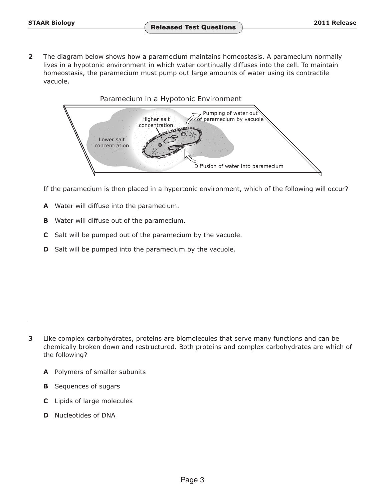**2** The diagram below shows how a paramecium maintains homeostasis. A paramecium normally lives in a hypotonic environment in which water continually diffuses into the cell. To maintain homeostasis, the paramecium must pump out large amounts of water using its contractile vacuole.



If the paramecium is then placed in a hypertonic environment, which of the following will occur?

- **A** Water will diffuse into the paramecium.
- **B** Water will diffuse out of the paramecium.
- **C** Salt will be pumped out of the paramecium by the vacuole.
- **D** Salt will be pumped into the paramecium by the vacuole.

- **3** Like complex carbohydrates, proteins are biomolecules that serve many functions and can be chemically broken down and restructured. Both proteins and complex carbohydrates are which of the following?
	- **A** Polymers of smaller subunits
	- **B** Sequences of sugars
	- **C** Lipids of large molecules
	- **D** Nucleotides of DNA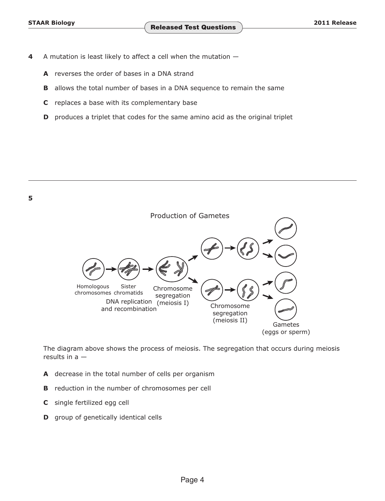- **4**  A mutation is least likely to affect a cell when the mutation
	- **A** reverses the order of bases in a DNA strand
	- **B** allows the total number of bases in a DNA sequence to remain the same
	- **C** replaces a base with its complementary base
	- **D** produces a triplet that codes for the same amino acid as the original triplet



The diagram above shows the process of meiosis. The segregation that occurs during meiosis results in a —

- **A** decrease in the total number of cells per organism
- **B** reduction in the number of chromosomes per cell
- **C** single fertilized egg cell
- **D** group of genetically identical cells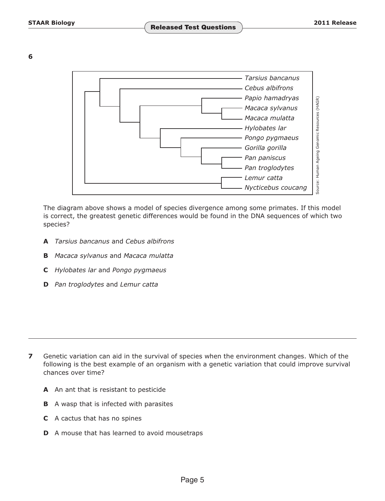**6** 



The diagram above shows a model of species divergence among some primates. If this model is correct, the greatest genetic differences would be found in the DNA sequences of which two species?

- **A** *Tarsius bancanus* and *Cebus albifrons*
- **B** *Macaca sylvanus* and *Macaca mulatta*
- **C** *Hylobates lar* and *Pongo pygmaeus*
- **D** *Pan troglodytes* and *Lemur catta*

- **7** Genetic variation can aid in the survival of species when the environment changes. Which of the following is the best example of an organism with a genetic variation that could improve survival chances over time?
	- **A** An ant that is resistant to pesticide
	- **B** A wasp that is infected with parasites
	- **C** A cactus that has no spines
	- **D** A mouse that has learned to avoid mousetraps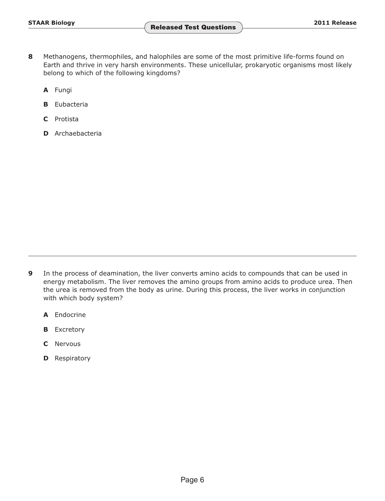- **8** Methanogens, thermophiles, and halophiles are some of the most primitive life-forms found on Earth and thrive in very harsh environments. These unicellular, prokaryotic organisms most likely belong to which of the following kingdoms?
	- **A** Fungi
	- **B** Eubacteria
	- **C** Protista
	- **D** Archaebacteria

- **9** In the process of deamination, the liver converts amino acids to compounds that can be used in energy metabolism. The liver removes the amino groups from amino acids to produce urea. Then the urea is removed from the body as urine. During this process, the liver works in conjunction with which body system?
	- **A** Endocrine
	- **B** Excretory
	- **C** Nervous
	- **D** Respiratory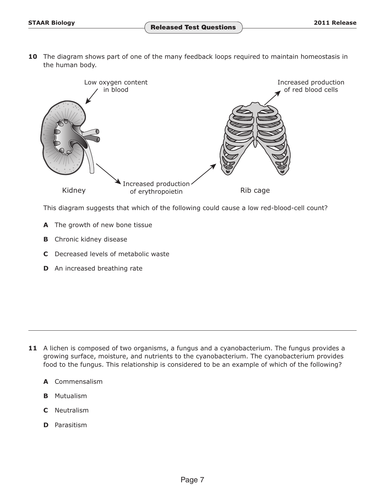**10** The diagram shows part of one of the many feedback loops required to maintain homeostasis in the human body.



This diagram suggests that which of the following could cause a low red-blood-cell count?

- **A** The growth of new bone tissue
- **B** Chronic kidney disease
- **C** Decreased levels of metabolic waste
- **D** An increased breathing rate

- **11** A lichen is composed of two organisms, a fungus and a cyanobacterium. The fungus provides a growing surface, moisture, and nutrients to the cyanobacterium. The cyanobacterium provides food to the fungus. This relationship is considered to be an example of which of the following?
	- **A** Commensalism
	- **B** Mutualism
	- **C** Neutralism
	- **D** Parasitism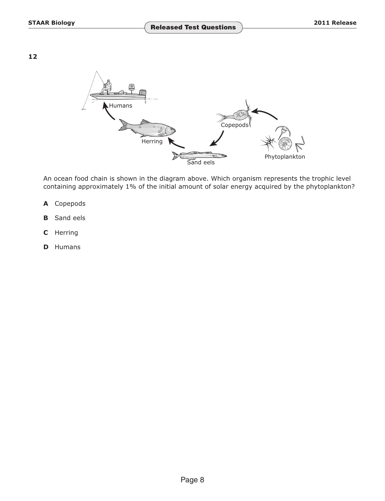**12** 



An ocean food chain is shown in the diagram above. Which organism represents the trophic level containing approximately 1% of the initial amount of solar energy acquired by the phytoplankton?

- **A** Copepods
- **B** Sand eels
- **C** Herring
- **D** Humans